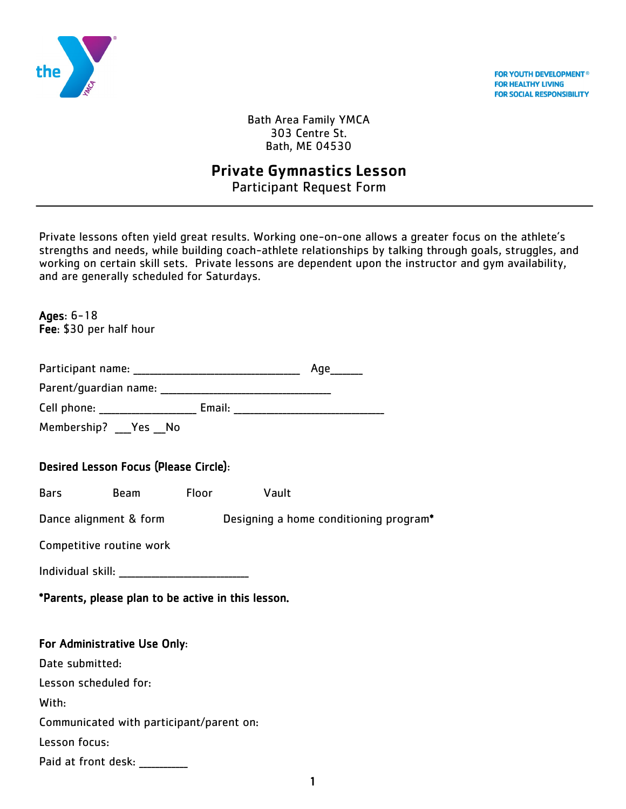

**FOR YOUTH DEVELOPMENT® FOR HEALTHY LIVING FOR SOCIAL RESPONSIBILITY** 

Bath Area Family YMCA 303 Centre St. Bath, ME 04530

# Private Gymnastics Lesson

Participant Request Form

Private lessons often yield great results. Working one-on-one allows a greater focus on the athlete's strengths and needs, while building coach-athlete relationships by talking through goals, struggles, and working on certain skill sets. Private lessons are dependent upon the instructor and gym availability, and are generally scheduled for Saturdays.

Ages: 6-18 Fee: \$30 per half hour

| Participant name: |  |  |
|-------------------|--|--|
|-------------------|--|--|

| Parent/guardian name: |  |
|-----------------------|--|
|-----------------------|--|

Cell phone: The Email: Email:  $\blacksquare$ 

Membership? Yes No

### Desired Lesson Focus (Please Circle):

Bars Beam Floor Vault

Dance alignment & form Designing a home conditioning program\*

Competitive routine work

Individual skill: \_\_\_\_\_\_\_\_\_\_\_\_\_\_\_\_\_\_\_\_\_\_\_\_\_\_\_\_\_\_\_\_

\*Parents, please plan to be active in this lesson.

### For Administrative Use Only:

Date submitted:

Lesson scheduled for:

With:

Communicated with participant/parent on:

Lesson focus:

Paid at front desk: